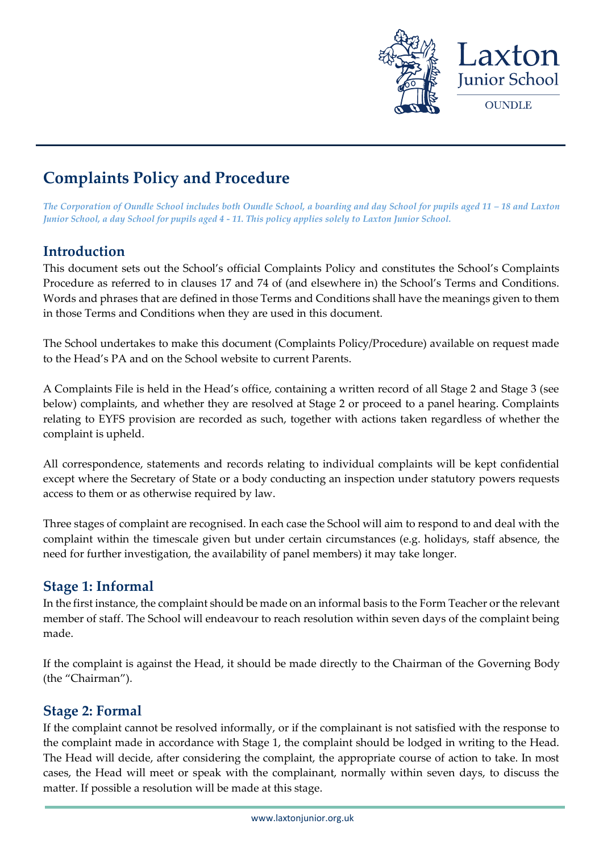

# **Complaints Policy and Procedure**

*The Corporation of Oundle School includes both Oundle School, a boarding and day School for pupils aged 11 – 18 and Laxton Junior School, a day School for pupils aged 4 - 11. This policy applies solely to Laxton Junior School.*

#### **Introduction**

This document sets out the School's official Complaints Policy and constitutes the School's Complaints Procedure as referred to in clauses 17 and 74 of (and elsewhere in) the School's Terms and Conditions. Words and phrases that are defined in those Terms and Conditions shall have the meanings given to them in those Terms and Conditions when they are used in this document.

The School undertakes to make this document (Complaints Policy/Procedure) available on request made to the Head's PA and on the School website to current Parents.

A Complaints File is held in the Head's office, containing a written record of all Stage 2 and Stage 3 (see below) complaints, and whether they are resolved at Stage 2 or proceed to a panel hearing. Complaints relating to EYFS provision are recorded as such, together with actions taken regardless of whether the complaint is upheld.

All correspondence, statements and records relating to individual complaints will be kept confidential except where the Secretary of State or a body conducting an inspection under statutory powers requests access to them or as otherwise required by law.

Three stages of complaint are recognised. In each case the School will aim to respond to and deal with the complaint within the timescale given but under certain circumstances (e.g. holidays, staff absence, the need for further investigation, the availability of panel members) it may take longer.

#### **Stage 1: Informal**

In the first instance, the complaint should be made on an informal basis to the Form Teacher or the relevant member of staff. The School will endeavour to reach resolution within seven days of the complaint being made.

If the complaint is against the Head, it should be made directly to the Chairman of the Governing Body (the "Chairman").

#### **Stage 2: Formal**

If the complaint cannot be resolved informally, or if the complainant is not satisfied with the response to the complaint made in accordance with Stage 1, the complaint should be lodged in writing to the Head. The Head will decide, after considering the complaint, the appropriate course of action to take. In most cases, the Head will meet or speak with the complainant, normally within seven days, to discuss the matter. If possible a resolution will be made at this stage.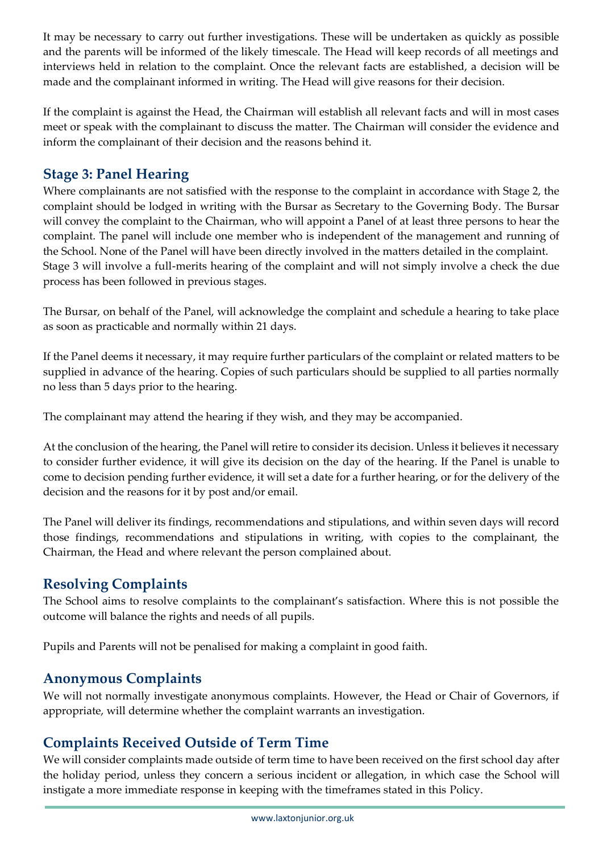It may be necessary to carry out further investigations. These will be undertaken as quickly as possible and the parents will be informed of the likely timescale. The Head will keep records of all meetings and interviews held in relation to the complaint. Once the relevant facts are established, a decision will be made and the complainant informed in writing. The Head will give reasons for their decision.

If the complaint is against the Head, the Chairman will establish all relevant facts and will in most cases meet or speak with the complainant to discuss the matter. The Chairman will consider the evidence and inform the complainant of their decision and the reasons behind it.

# **Stage 3: Panel Hearing**

Where complainants are not satisfied with the response to the complaint in accordance with Stage 2, the complaint should be lodged in writing with the Bursar as Secretary to the Governing Body. The Bursar will convey the complaint to the Chairman, who will appoint a Panel of at least three persons to hear the complaint. The panel will include one member who is independent of the management and running of the School. None of the Panel will have been directly involved in the matters detailed in the complaint. Stage 3 will involve a full-merits hearing of the complaint and will not simply involve a check the due process has been followed in previous stages.

The Bursar, on behalf of the Panel, will acknowledge the complaint and schedule a hearing to take place as soon as practicable and normally within 21 days.

If the Panel deems it necessary, it may require further particulars of the complaint or related matters to be supplied in advance of the hearing. Copies of such particulars should be supplied to all parties normally no less than 5 days prior to the hearing.

The complainant may attend the hearing if they wish, and they may be accompanied.

At the conclusion of the hearing, the Panel will retire to consider its decision. Unless it believes it necessary to consider further evidence, it will give its decision on the day of the hearing. If the Panel is unable to come to decision pending further evidence, it will set a date for a further hearing, or for the delivery of the decision and the reasons for it by post and/or email.

The Panel will deliver its findings, recommendations and stipulations, and within seven days will record those findings, recommendations and stipulations in writing, with copies to the complainant, the Chairman, the Head and where relevant the person complained about.

#### **Resolving Complaints**

The School aims to resolve complaints to the complainant's satisfaction. Where this is not possible the outcome will balance the rights and needs of all pupils.

Pupils and Parents will not be penalised for making a complaint in good faith.

### **Anonymous Complaints**

We will not normally investigate anonymous complaints. However, the Head or Chair of Governors, if appropriate, will determine whether the complaint warrants an investigation.

# **Complaints Received Outside of Term Time**

We will consider complaints made outside of term time to have been received on the first school day after the holiday period, unless they concern a serious incident or allegation, in which case the School will instigate a more immediate response in keeping with the timeframes stated in this Policy.